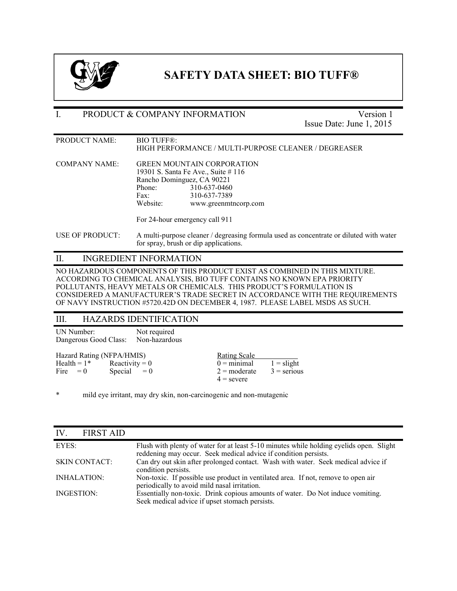

## **SAFETY DATA SHEET: BIO TUFF®**

#### I. PRODUCT & COMPANY INFORMATION Version 1

Issue Date: June 1, 2015

PRODUCT NAME: BIO TUFF®: HIGH PERFORMANCE / MULTI-PURPOSE CLEANER / DEGREASER

COMPANY NAME: GREEN MOUNTAIN CORPORATION 19301 S. Santa Fe Ave., Suite # 116 Rancho Dominguez, CA 90221 Phone: 310-637-0460 Fax: 310-637-7389 Website: www.greenmtncorp.com

For 24-hour emergency call 911

USE OF PRODUCT: A multi-purpose cleaner / degreasing formula used as concentrate or diluted with water for spray, brush or dip applications.

#### II. INGREDIENT INFORMATION

NO HAZARDOUS COMPONENTS OF THIS PRODUCT EXIST AS COMBINED IN THIS MIXTURE. ACCORDING TO CHEMICAL ANALYSIS, BIO TUFF CONTAINS NO KNOWN EPA PRIORITY POLLUTANTS, HEAVY METALS OR CHEMICALS. THIS PRODUCT'S FORMULATION IS CONSIDERED A MANUFACTURER'S TRADE SECRET IN ACCORDANCE WITH THE REQUIREMENTS OF NAVY INSTRUCTION #5720.42D ON DECEMBER 4, 1987. PLEASE LABEL MSDS AS SUCH.

#### III. HAZARDS IDENTIFICATION

UN Number: Not required Dangerous Good Class: Non-hazardous Hazard Rating (NFPA/HMIS) <br>
Health = 1\* Reactivity = 0 0 = minimal Health =  $1^*$  Reactivity = 0 0 = minimal 1 = slight<br>Fire = 0 Special = 0 2 = moderate 3 = seriou Special  $= 0$  2 = moderate 3 = serious  $4 =$  severe

\* mild eye irritant, may dry skin, non-carcinogenic and non-mutagenic

| <b>FIRST AID</b><br>IV |                                                                                                                                                            |
|------------------------|------------------------------------------------------------------------------------------------------------------------------------------------------------|
| EYES:                  | Flush with plenty of water for at least 5-10 minutes while holding eyelids open. Slight<br>reddening may occur. Seek medical advice if condition persists. |
| <b>SKIN CONTACT:</b>   | Can dry out skin after prolonged contact. Wash with water. Seek medical advice if<br>condition persists.                                                   |
| INHALATION:            | Non-toxic. If possible use product in ventilated area. If not, remove to open air<br>periodically to avoid mild nasal irritation.                          |
| INGESTION:             | Essentially non-toxic. Drink copious amounts of water. Do Not induce vomiting.<br>Seek medical advice if upset stomach persists.                           |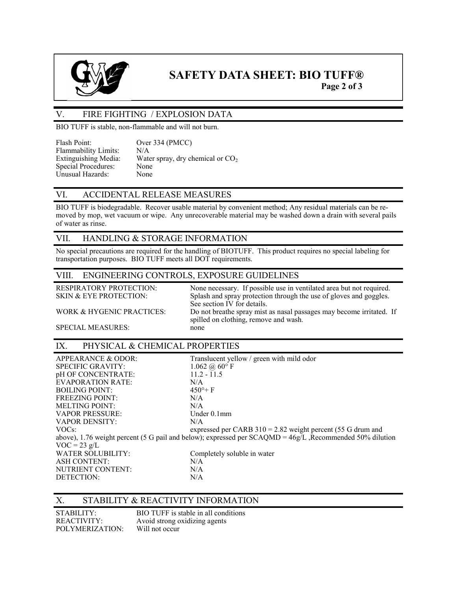

# **SAFETY DATA SHEET: BIO TUFF®**

**Page 2 of 3**

#### V. FIRE FIGHTING / EXPLOSION DATA

BIO TUFF is stable, non-flammable and will not burn.

| Flash Point:                | Over 334 (PMCC)                    |
|-----------------------------|------------------------------------|
| <b>Flammability Limits:</b> | N/A                                |
| Extinguishing Media:        | Water spray, dry chemical or $CO2$ |
| Special Procedures:         | None                               |
| Unusual Hazards:            | None                               |

#### VI. ACCIDENTAL RELEASE MEASURES

BIO TUFF is biodegradable. Recover usable material by convenient method; Any residual materials can be removed by mop, wet vacuum or wipe. Any unrecoverable material may be washed down a drain with several pails of water as rinse.

#### VII. HANDLING & STORAGE INFORMATION

No special precautions are required for the handling of BIOTUFF. This product requires no special labeling for transportation purposes. BIO TUFF meets all DOT requirements.

#### VIII. ENGINEERING CONTROLS, EXPOSURE GUIDELINES

RESPIRATORY PROTECTION: None necessary. If possible use in ventilated area but not required.<br>SKIN & EYE PROTECTION: Splash and spray protection through the use of gloves and goggles. Splash and spray protection through the use of gloves and goggles. See section IV for details. WORK & HYGENIC PRACTICES: Do not breathe spray mist as nasal passages may become irritated. If spilled on clothing, remove and wash.<br>none

SPECIAL MEASURES:

#### IX. PHYSICAL & CHEMICAL PROPERTIES

| APPEARANCE & ODOR:                                                                                          | Translucent yellow / green with mild odor                     |  |  |
|-------------------------------------------------------------------------------------------------------------|---------------------------------------------------------------|--|--|
| <b>SPECIFIC GRAVITY:</b>                                                                                    | $1.062\ (\omega\ 60^{\circ}\)$ F                              |  |  |
| pH OF CONCENTRATE:                                                                                          | $11.2 - 11.5$                                                 |  |  |
| <b>EVAPORATION RATE:</b>                                                                                    | N/A                                                           |  |  |
| <b>BOILING POINT:</b>                                                                                       | $450^{\circ}$ F                                               |  |  |
| <b>FREEZING POINT:</b>                                                                                      | N/A                                                           |  |  |
| <b>MELTING POINT:</b>                                                                                       | N/A                                                           |  |  |
| <b>VAPOR PRESSURE:</b>                                                                                      | Under $0.1$ mm                                                |  |  |
| <b>VAPOR DENSITY:</b>                                                                                       | N/A                                                           |  |  |
| VOCs:                                                                                                       | expressed per CARB $310 = 2.82$ weight percent (55 G drum and |  |  |
| above), 1.76 weight percent (5 G pail and below); expressed per $SCAQMD = 46g/L$ , Recommended 50% dilution |                                                               |  |  |
| $VOC = 23 g/L$                                                                                              |                                                               |  |  |
| <b>WATER SOLUBILITY:</b>                                                                                    | Completely soluble in water                                   |  |  |
| <b>ASH CONTENT:</b>                                                                                         | N/A                                                           |  |  |
| NUTRIENT CONTENT:                                                                                           | N/A                                                           |  |  |
| DETECTION:                                                                                                  | N/A                                                           |  |  |

#### X. STABILITY & REACTIVITY INFORMATION

| STABILITY:      | BIO TUFF is stable in all conditions |
|-----------------|--------------------------------------|
| REACTIVITY:     | Avoid strong oxidizing agents        |
| POLYMERIZATION: | Will not occur                       |